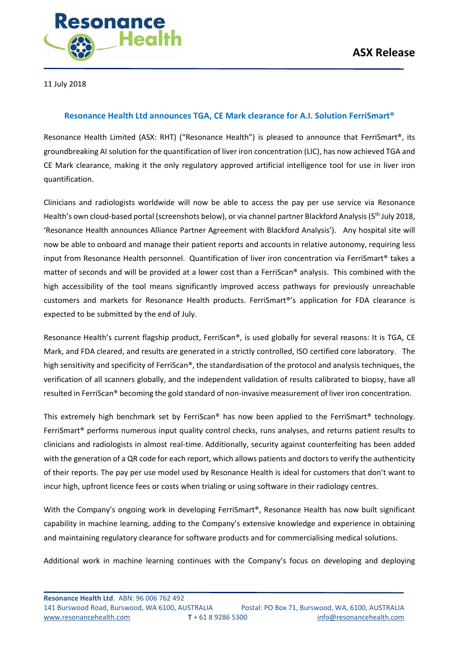

11 July 2018

## **Resonance Health Ltd announces TGA, CE Mark clearance for A.I. Solution FerriSmart®**

Resonance Health Limited (ASX: RHT) ("Resonance Health") is pleased to announce that FerriSmart®, its groundbreaking AI solution for the quantification of liver iron concentration (LIC), has now achieved TGA and CE Mark clearance, making it the only regulatory approved artificial intelligence tool for use in liver iron quantification.

Clinicians and radiologists worldwide will now be able to access the pay per use service via Resonance Health's own cloud-based portal (screenshots below), or via channel partner Blackford Analysis (5<sup>th</sup> July 2018, 'Resonance Health announces Alliance Partner Agreement with Blackford Analysis'). Any hospital site will now be able to onboard and manage their patient reports and accounts in relative autonomy, requiring less input from Resonance Health personnel. Quantification of liver iron concentration via FerriSmart® takes a matter of seconds and will be provided at a lower cost than a FerriScan® analysis. This combined with the high accessibility of the tool means significantly improved access pathways for previously unreachable customers and markets for Resonance Health products. FerriSmart®'s application for FDA clearance is expected to be submitted by the end of July.

Resonance Health's current flagship product, FerriScan®, is used globally for several reasons: It is TGA, CE Mark, and FDA cleared, and results are generated in a strictly controlled, ISO certified core laboratory. The high sensitivity and specificity of FerriScan®, the standardisation of the protocol and analysis techniques, the verification of all scanners globally, and the independent validation of results calibrated to biopsy, have all resulted in FerriScan® becoming the gold standard of non-invasive measurement of liver iron concentration.

This extremely high benchmark set by FerriScan® has now been applied to the FerriSmart® technology. FerriSmart® performs numerous input quality control checks, runs analyses, and returns patient results to clinicians and radiologists in almost real-time. Additionally, security against counterfeiting has been added with the generation of a QR code for each report, which allows patients and doctors to verify the authenticity of their reports. The pay per use model used by Resonance Health is ideal for customers that don't want to incur high, upfront licence fees or costs when trialing or using software in their radiology centres.

With the Company's ongoing work in developing FerriSmart®, Resonance Health has now built significant capability in machine learning, adding to the Company's extensive knowledge and experience in obtaining and maintaining regulatory clearance for software products and for commercialising medical solutions.

Additional work in machine learning continues with the Company's focus on developing and deploying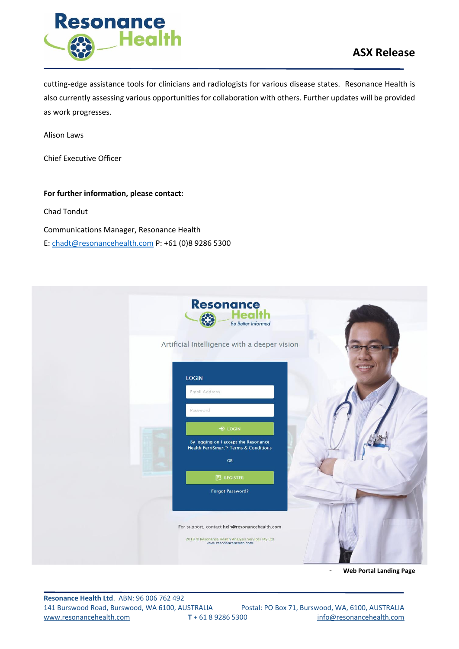

## **ASX Release**

cutting-edge assistance tools for clinicians and radiologists for various disease states. Resonance Health is also currently assessing various opportunities for collaboration with others. Further updates will be provided as work progresses.

Alison Laws

Chief Executive Officer

**For further information, please contact:** Chad Tondut Communications Manager, Resonance Health E[: chadt@resonancehealth.com](mailto:chadt@resonancehealth.com) P: +61 (0)8 9286 5300

| <b>Resonance</b><br>Hea<br><b>Be Better Informed</b>                                                                          |  |
|-------------------------------------------------------------------------------------------------------------------------------|--|
| Artificial Intelligence with a deeper vision                                                                                  |  |
| <b>LOGIN</b><br>Email Address                                                                                                 |  |
| Password                                                                                                                      |  |
| $\rightarrow$ LOGIN<br>By logging on I accept the Resonance<br>Health FerriSmart™ Terms & Conditions                          |  |
| OR<br>$E$ REGISTER                                                                                                            |  |
| Forgot Password?                                                                                                              |  |
| For support, contact help@resonancehealth.com<br>2018 © Resonance Health Analysis Services Pty Ltd<br>www.resonancehealth.com |  |

- **Web Portal Landing Page**